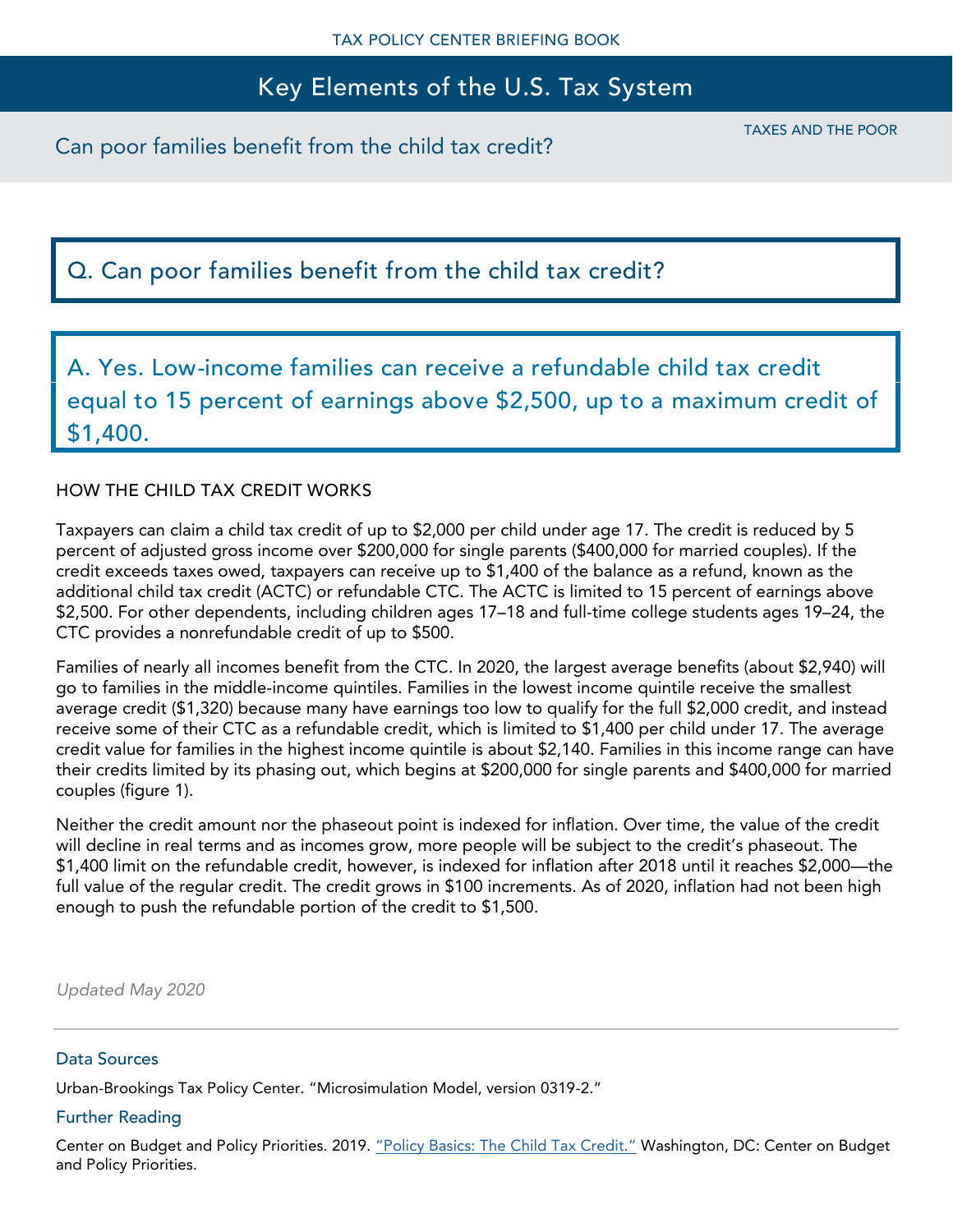# Key Elements of the U.S. Tax System

# Q. Can poor families benefit from the child tax credit?

A. Yes. Low-income families can receive a refundable child tax credit equal to 15 percent of earnings above \$2,500, up to a maximum credit of \$1,400.

### HOW THE CHILD TAX CREDIT WORKS

Taxpayers can claim a child tax credit of up to \$2,000 per child under age 17. The credit is reduced by 5 percent of adjusted gross income over \$200,000 for single parents (\$400,000 for married couples). If the credit exceeds taxes owed, taxpayers can receive up to \$1,400 of the balance as a refund, known as the additional child tax credit (ACTC) or refundable CTC. The ACTC is limited to 15 percent of earnings above \$2,500. For other dependents, including children ages 17–18 and full-time college students ages 19–24, the CTC provides a nonrefundable credit of up to \$500.

Families of nearly all incomes benefit from the CTC. In 2020, the largest average benefits (about \$2,940) will go to families in the middle-income quintiles. Families in the lowest income quintile receive the smallest average credit (\$1,320) because many have earnings too low to qualify for the full \$2,000 credit, and instead receive some of their CTC as a refundable credit, which is limited to \$1,400 per child under 17. The average credit value for families in the highest income quintile is about \$2,140. Families in this income range can have their credits limited by its phasing out, which begins at \$200,000 for single parents and \$400,000 for married couples (figure 1).

Neither the credit amount nor the phaseout point is indexed for inflation. Over time, the value of the credit will decline in real terms and as incomes grow, more people will be subject to the credit's phaseout. The \$1,400 limit on the refundable credit, however, is indexed for inflation after 2018 until it reaches \$2,000—the full value of the regular credit. The credit grows in \$100 increments. As of 2020, inflation had not been high enough to push the refundable portion of the credit to \$1,500.

*Updated May 2020*

#### Data Sources

Urban-Brookings Tax Policy Center. "Microsimulation Model, version 0319-2."

#### Further Reading

Center on Budget and Policy Priorities. 2019. ["Policy Basics: The Child Tax Credit."](http://www.cbpp.org/research/policy-basics-the-child-tax-credit) Washington, DC: Center on Budget and Policy Priorities.

TAXES AND THE POOR